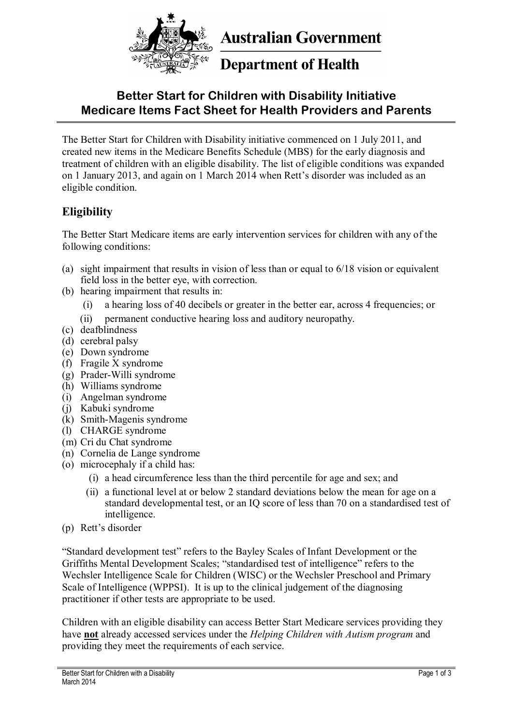

**Australian Government** 

# **Department of Health**

# **Better Start for Children with Disability Initiative Medicare Items Fact Sheet for Health Providers and Parents**

The Better Start for Children with Disability initiative commenced on 1 July 2011, and created new items in the Medicare Benefits Schedule (MBS) for the early diagnosis and treatment of children with an eligible disability. The list of eligible conditions was expanded on 1 January 2013, and again on 1 March 2014 when Rett's disorder was included as an eligible condition.

### **Eligibility**

The Better Start Medicare items are early intervention services for children with any of the following conditions:

- (a) sight impairment that results in vision of less than or equal to 6/18 vision or equivalent field loss in the better eye, with correction.
- (b) hearing impairment that results in:
	- (i) a hearing loss of 40 decibels or greater in the better ear, across 4 frequencies; or
	- (ii) permanent conductive hearing loss and auditory neuropathy.
- (c) deafblindness
- (d) cerebral palsy
- (e) Down syndrome
- (f) Fragile X syndrome
- (g) Prader-Willi syndrome
- (h) Williams syndrome
- (i) Angelman syndrome
- (j) Kabuki syndrome
- (k) Smith-Magenis syndrome
- (l) CHARGE syndrome
- (m) Cri du Chat syndrome
- (n) Cornelia de Lange syndrome
- (o) microcephaly if a child has:
	- (i) a head circumference less than the third percentile for age and sex; and
	- (ii) a functional level at or below 2 standard deviations below the mean for age on a standard developmental test, or an IQ score of less than 70 on a standardised test of intelligence.
- (p) Rett's disorder

"Standard development test" refers to the Bayley Scales of Infant Development or the Griffiths Mental Development Scales; "standardised test of intelligence" refers to the Wechsler Intelligence Scale for Children (WISC) or the Wechsler Preschool and Primary Scale of Intelligence (WPPSI). It is up to the clinical judgement of the diagnosing practitioner if other tests are appropriate to be used.

Children with an eligible disability can access Better Start Medicare services providing they have **not** already accessed services under the *Helping Children with Autism program* and providing they meet the requirements of each service.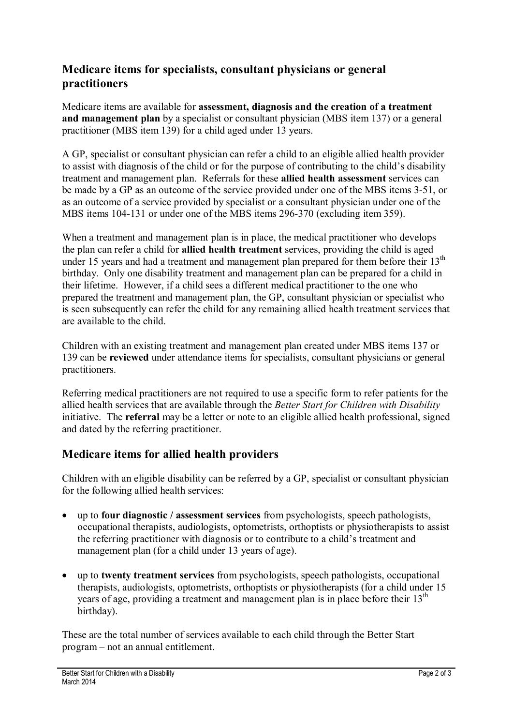### **Medicare items for specialists, consultant physicians or general practitioners**

Medicare items are available for **assessment, diagnosis and the creation of a treatment and management plan** by a specialist or consultant physician (MBS item 137) or a general practitioner (MBS item 139) for a child aged under 13 years.

A GP, specialist or consultant physician can refer a child to an eligible allied health provider to assist with diagnosis of the child or for the purpose of contributing to the child's disability treatment and management plan. Referrals for these **allied health assessment** services can be made by a GP as an outcome of the service provided under one of the MBS items 3-51, or as an outcome of a service provided by specialist or a consultant physician under one of the MBS items 104-131 or under one of the MBS items 296-370 (excluding item 359).

When a treatment and management plan is in place, the medical practitioner who develops the plan can refer a child for **allied health treatment** services, providing the child is aged under 15 years and had a treatment and management plan prepared for them before their 13<sup>th</sup> birthday. Only one disability treatment and management plan can be prepared for a child in their lifetime. However, if a child sees a different medical practitioner to the one who prepared the treatment and management plan, the GP, consultant physician or specialist who is seen subsequently can refer the child for any remaining allied health treatment services that are available to the child.

Children with an existing treatment and management plan created under MBS items 137 or 139 can be **reviewed** under attendance items for specialists, consultant physicians or general practitioners.

Referring medical practitioners are not required to use a specific form to refer patients for the allied health services that are available through the *Better Start for Children with Disability* initiative. The **referral** may be a letter or note to an eligible allied health professional, signed and dated by the referring practitioner.

## **Medicare items for allied health providers**

Children with an eligible disability can be referred by a GP, specialist or consultant physician for the following allied health services:

- up to **four diagnostic / assessment services** from psychologists, speech pathologists, occupational therapists, audiologists, optometrists, orthoptists or physiotherapists to assist the referring practitioner with diagnosis or to contribute to a child's treatment and management plan (for a child under 13 years of age).
- up to **twenty treatment services** from psychologists, speech pathologists, occupational therapists, audiologists, optometrists, orthoptists or physiotherapists (for a child under 15 years of age, providing a treatment and management plan is in place before their  $13<sup>th</sup>$ birthday).

These are the total number of services available to each child through the Better Start program – not an annual entitlement.